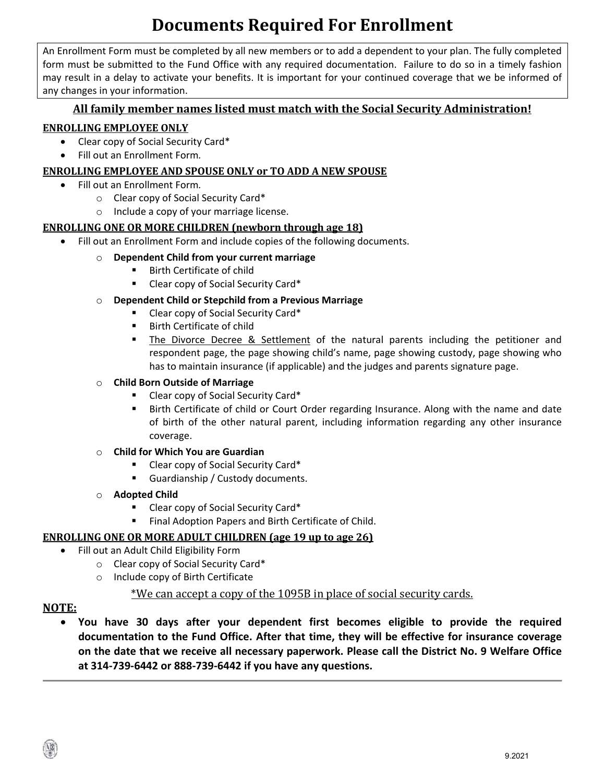## **Documents Required For Enrollment**

An Enrollment Form must be completed by all new members or to add a dependent to your plan. The fully completed form must be submitted to the Fund Office with any required documentation. Failure to do so in a timely fashion may result in a delay to activate your benefits. It is important for your continued coverage that we be informed of any changes in your information.

#### **All family member names listed must match with the Social Security Administration!**

#### **ENROLLING EMPLOYEE ONLY**

- Clear copy of Social Security Card\*
- Fill out an Enrollment Form*.*

#### **ENROLLING EMPLOYEE AND SPOUSE ONLY or TO ADD A NEW SPOUSE**

- Fill out an Enrollment Form*.* 
	- o Clear copy of Social Security Card\*
	- o Include a copy of your marriage license.

#### **ENROLLING ONE OR MORE CHILDREN (newborn through age 18)**

- Fill out an Enrollment Form and include copies of the following documents.
	- o **Dependent Child from your current marriage**
		- Birth Certificate of child
		- Clear copy of Social Security Card\*
	- o **Dependent Child or Stepchild from a Previous Marriage**
		- Clear copy of Social Security Card\*
		- **Birth Certificate of child**
		- **The Divorce Decree & Settlement** of the natural parents including the petitioner and respondent page, the page showing child's name, page showing custody, page showing who has to maintain insurance (if applicable) and the judges and parents signature page.

#### **Child Born Outside of Marriage**

- Clear copy of Social Security Card\*
- Birth Certificate of child or Court Order regarding Insurance. Along with the name and date of birth of the other natural parent, including information regarding any other insurance coverage.

#### o **Child for Which You are Guardian**

- Clear copy of Social Security Card<sup>\*</sup>
- Guardianship / Custody documents.
- o **Adopted Child**
	- Clear copy of Social Security Card\*
	- Final Adoption Papers and Birth Certificate of Child.

#### **ENROLLING ONE OR MORE ADULT CHILDREN (age 19 up to age 26)**

- Fill out an Adult Child Eligibility Form
	- o Clear copy of Social Security Card\*
	- o Include copy of Birth Certificate

### \*We can accept a copy of the 1095B in place of social security cards.

#### **NOTE:**

• **You have 30 days after your dependent first becomes eligible to provide the required documentation to the Fund Office. After that time, they will be effective for insurance coverage on the date that we receive all necessary paperwork. Please call the District No. 9 Welfare Office at 314-739-6442 or 888-739-6442 if you have any questions.**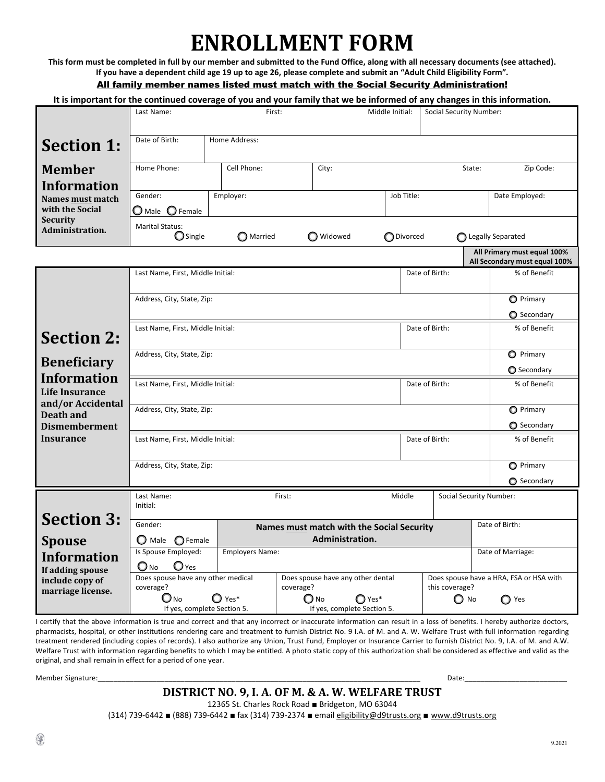# **ENROLLMENT FORM**

**This form must be completed in full by our member and submitted to the Fund Office, along with all necessary documents (see attached). If you have a dependent child age 19 up to age 26, please complete and submit an "Adult Child Eligibility Form".** All family member names listed must match with the Social Security Administration!

#### **It is important for the continued coverage of you and your family that we be informed of any changes in this information.**

|                                                                  | Last Name:                                                                                                                                      | Social Security Number:  |                                                |        |                |                                |                                                              |  |  |
|------------------------------------------------------------------|-------------------------------------------------------------------------------------------------------------------------------------------------|--------------------------|------------------------------------------------|--------|----------------|--------------------------------|--------------------------------------------------------------|--|--|
| <b>Section 1:</b>                                                | Date of Birth:                                                                                                                                  | Home Address:            |                                                |        |                |                                |                                                              |  |  |
| <b>Member</b>                                                    | Home Phone:                                                                                                                                     | Cell Phone:              | City:                                          |        |                | State:                         | Zip Code:                                                    |  |  |
| <b>Information</b><br>Names must match                           | Gender:                                                                                                                                         | Employer:                | Job Title:                                     |        |                |                                | Date Employed:                                               |  |  |
| with the Social<br><b>Security</b>                               | $\bigcirc$ Female<br>$\mathbf \Theta$ Male                                                                                                      |                          |                                                |        |                |                                |                                                              |  |  |
| Administration.                                                  | <b>Marital Status:</b><br>Single<br>$\bigcirc$ Married<br>O Widowed<br><b>O</b> Divorced                                                        |                          |                                                |        |                |                                | ◯ Legally Separated                                          |  |  |
|                                                                  |                                                                                                                                                 |                          |                                                |        |                |                                | All Primary must equal 100%<br>All Secondary must equal 100% |  |  |
|                                                                  | Last Name, First, Middle Initial:<br>Date of Birth:                                                                                             |                          |                                                |        |                |                                |                                                              |  |  |
|                                                                  | Address, City, State, Zip:                                                                                                                      |                          |                                                |        |                |                                |                                                              |  |  |
|                                                                  |                                                                                                                                                 |                          |                                                |        |                |                                | Secondary                                                    |  |  |
| <b>Section 2:</b>                                                | Last Name, First, Middle Initial:<br>Date of Birth:                                                                                             |                          |                                                |        |                |                                | % of Benefit                                                 |  |  |
| <b>Beneficiary</b>                                               | Address, City, State, Zip:                                                                                                                      | O Primary<br>◯ Secondary |                                                |        |                |                                |                                                              |  |  |
| <b>Information</b><br><b>Life Insurance</b><br>and/or Accidental | Last Name, First, Middle Initial:<br>Date of Birth:                                                                                             |                          |                                                |        |                |                                | % of Benefit                                                 |  |  |
| Death and<br><b>Dismemberment</b>                                | Address, City, State, Zip:                                                                                                                      | O Primary<br>Secondary   |                                                |        |                |                                |                                                              |  |  |
| Insurance                                                        | Date of Birth:<br>Last Name, First, Middle Initial:                                                                                             |                          |                                                |        |                |                                | % of Benefit                                                 |  |  |
|                                                                  | Address, City, State, Zip:                                                                                                                      |                          |                                                |        |                |                                | <b>O</b> Primary<br>Secondary                                |  |  |
|                                                                  | Last Name:<br>Initial:                                                                                                                          |                          | First:                                         | Middle |                | <b>Social Security Number:</b> |                                                              |  |  |
| <b>Section 3:</b>                                                | Gender:                                                                                                                                         |                          | Date of Birth:                                 |        |                |                                |                                                              |  |  |
| <b>Spouse</b>                                                    | Administration.<br>$\mathbf O$ Male<br>$\bigcirc$ Female<br>Is Spouse Employed:<br><b>Employers Name:</b>                                       |                          |                                                |        |                |                                | Date of Marriage:                                            |  |  |
| <b>Information</b><br>If adding spouse                           | $\mathbf{O}$ Yes<br>$\mathbf{\mathsf{O}}$ No                                                                                                    |                          |                                                |        |                |                                |                                                              |  |  |
| include copy of<br>marriage license.                             | Does spouse have any other medical<br>coverage?                                                                                                 |                          | Does spouse have any other dental<br>coverage? |        | this coverage? |                                | Does spouse have a HRA, FSA or HSA with                      |  |  |
|                                                                  | (U No<br>$\mathbf{O}$ Yes*<br>$\bigcirc$ No<br>$\mathbb{O}$ Yes*<br>$\bigcirc$ No<br>If yes, complete Section 5.<br>If yes, complete Section 5. |                          |                                                |        |                |                                | ◯ Yes                                                        |  |  |

I certify that the above information is true and correct and that any incorrect or inaccurate information can result in a loss of benefits. I hereby authorize doctors, pharmacists, hospital, or other institutions rendering care and treatment to furnish District No. 9 I.A. of M. and A. W. Welfare Trust with full information regarding treatment rendered (including copies of records). I also authorize any Union, Trust Fund, Employer or Insurance Carrier to furnish District No. 9, I.A. of M. and A.W. Welfare Trust with information regarding benefits to which I may be entitled. A photo static copy of this authorization shall be considered as effective and valid as the original, and shall remain in effect for a period of one year.

Member Signature: etc. and the state of the state of the state of the state of the state of the state of the state of the state of the state of the state of the state of the state of the state of the state of the state of

#### **DISTRICT NO. 9, I. A. OF M. & A. W. WELFARE TRUST**

12365 St. Charles Rock Road ■ Bridgeton, MO 63044

(314) 739-6442 ■ (888) 739-6442 ■ fax (314) 739-2374 ■ emai[l eligibility@d9trusts.org](mailto:eligibility@d9trusts.org) ■ [www.d9trusts.org](http://www.d9trusts.org/)